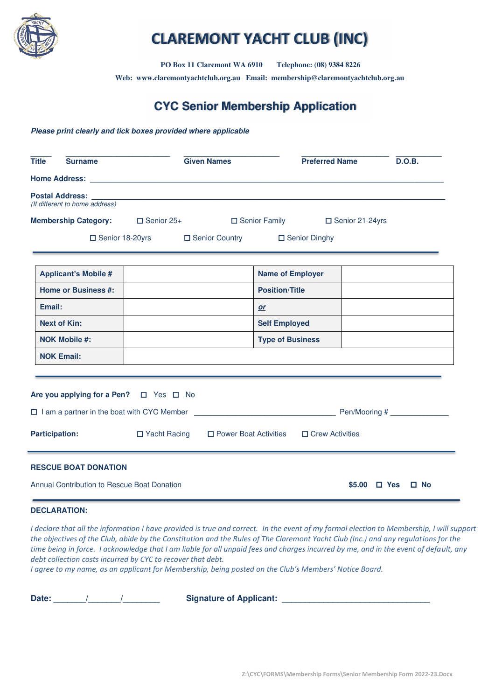

# **CLAREMONT YACHT CLUB (INC)**

 **PO Box 11 Claremont WA 6910 Telephone: (08) 9384 8226** 

**Web: www.claremontyachtclub.org.au Email: membership@claremontyachtclub.org.au**

## **CYC Senior Membership Application**

#### **Please print clearly and tick boxes provided where applicable**

| <b>Title</b>                                | <b>Surname</b>                 |                                                    | <b>Given Names</b>      |                         | <b>Preferred Name</b>  |                   |            | D.O.B.       |
|---------------------------------------------|--------------------------------|----------------------------------------------------|-------------------------|-------------------------|------------------------|-------------------|------------|--------------|
|                                             |                                |                                                    |                         |                         |                        |                   |            |              |
|                                             | (If different to home address) |                                                    |                         |                         |                        |                   |            |              |
|                                             |                                | <b>Membership Category:</b> □ Senior 25+           |                         | $\Box$ Senior Family    |                        | □ Senior 21-24yrs |            |              |
|                                             |                                | □ Senior 18-20yrs □ Senior Country □ Senior Dinghy |                         |                         |                        |                   |            |              |
|                                             | <b>Applicant's Mobile #</b>    |                                                    |                         | <b>Name of Employer</b> |                        |                   |            |              |
|                                             | <b>Home or Business #:</b>     |                                                    |                         | <b>Position/Title</b>   |                        |                   |            |              |
| Email:                                      |                                |                                                    |                         | or                      |                        |                   |            |              |
|                                             | <b>Next of Kin:</b>            |                                                    |                         | <b>Self Employed</b>    |                        |                   |            |              |
|                                             | <b>NOK Mobile #:</b>           |                                                    |                         | <b>Type of Business</b> |                        |                   |            |              |
|                                             | <b>NOK Email:</b>              |                                                    |                         |                         |                        |                   |            |              |
|                                             |                                |                                                    |                         |                         |                        |                   |            |              |
|                                             |                                | Are you applying for a Pen? □ Yes □ No             |                         |                         |                        |                   |            |              |
|                                             |                                |                                                    |                         |                         |                        |                   |            |              |
|                                             | <b>Participation:</b>          | □ Yacht Racing                                     | □ Power Boat Activities |                         | $\Box$ Crew Activities |                   |            |              |
|                                             | <b>RESCUE BOAT DONATION</b>    |                                                    |                         |                         |                        |                   |            |              |
| Annual Contribution to Rescue Boat Donation |                                |                                                    |                         |                         |                        | \$5.00            | $\Box$ Yes | $\square$ No |

#### **DECLARATION:**

*I declare that all the information I have provided is true and correct. In the event of my formal election to Membership, I will support the objectives of the Club, abide by the Constitution and the Rules of The Claremont Yacht Club (Inc.) and any regulations for the time being in force. I acknowledge that I am liable for all unpaid fees and charges incurred by me, and in the event of default, any debt collection costs incurred by CYC to recover that debt.* 

*I agree to my name, as an applicant for Membership, being posted on the Club's Members' Notice Board.*

**Date: \_\_\_\_\_\_\_/\_\_\_\_\_\_\_/\_\_\_\_\_\_\_\_ Signature of Applicant: \_\_\_\_\_\_\_\_\_\_\_\_\_\_\_\_\_\_\_\_\_\_\_\_\_\_\_\_\_\_\_\_**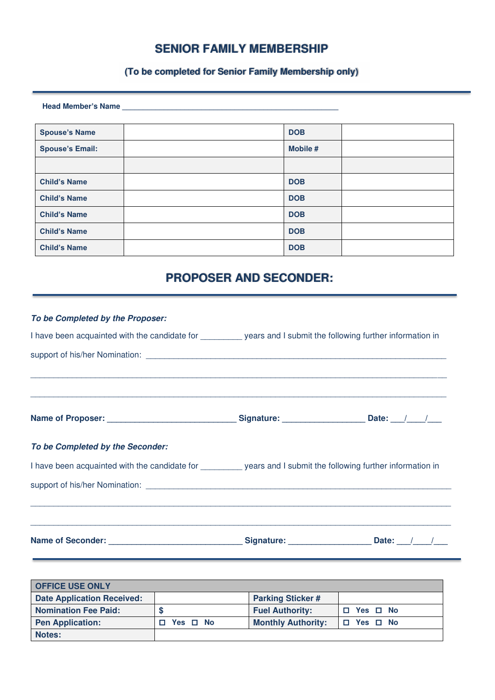### **SENIOR FAMILY MEMBERSHIP**

### **(To be completed for Senior Family Membership only)**

**Head Member's Name \_\_\_\_\_\_\_\_\_\_\_\_\_\_\_\_\_\_\_\_\_\_\_\_\_\_\_\_\_\_\_\_\_\_\_\_\_\_\_\_\_\_\_\_\_\_\_\_\_\_\_\_** 

| <b>Spouse's Name</b>   | <b>DOB</b> |  |
|------------------------|------------|--|
| <b>Spouse's Email:</b> | Mobile #   |  |
|                        |            |  |
| <b>Child's Name</b>    | <b>DOB</b> |  |
| <b>Child's Name</b>    | <b>DOB</b> |  |
| <b>Child's Name</b>    | <b>DOB</b> |  |
| <b>Child's Name</b>    | <b>DOB</b> |  |
| <b>Child's Name</b>    | <b>DOB</b> |  |

# **PROPOSER AND SECONDER:**

| To be Completed by the Proposer:                                                                             |  |
|--------------------------------------------------------------------------------------------------------------|--|
| I have been acquainted with the candidate for entity years and I submit the following further information in |  |
|                                                                                                              |  |
|                                                                                                              |  |
| To be Completed by the Seconder:                                                                             |  |
| I have been acquainted with the candidate for years and I submit the following further information in        |  |
|                                                                                                              |  |
| ,我们也不能在这里的人,我们也不能在这里的人,我们也不能在这里的人,我们也不能不能不能不能不能不能不能不能不能不能。""我们,我们也不能不能不能不能不能不能不能                             |  |

| <b>OFFICE USE ONLY</b>            |               |                           |                |
|-----------------------------------|---------------|---------------------------|----------------|
| <b>Date Application Received:</b> |               | <b>Parking Sticker#</b>   |                |
| <b>Nomination Fee Paid:</b>       |               | <b>Fuel Authority:</b>    | Yes □ No       |
| <b>Pen Application:</b>           | Yes $\Box$ No | <b>Monthly Authority:</b> | Yes □ No<br>П. |
| <b>Notes:</b>                     |               |                           |                |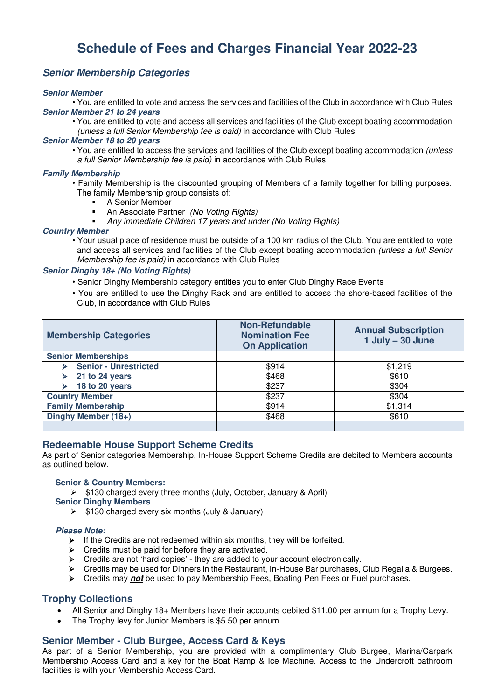# **Schedule of Fees and Charges Financial Year 2022-23**

#### **Senior Membership Categories**

#### **Senior Member**

• You are entitled to vote and access the services and facilities of the Club in accordance with Club Rules **Senior Member 21 to 24 years** 

• You are entitled to vote and access all services and facilities of the Club except boating accommodation (unless a full Senior Membership fee is paid) in accordance with Club Rules

#### **Senior Member 18 to 20 years**

• You are entitled to access the services and facilities of the Club except boating accommodation (unless a full Senior Membership fee is paid) in accordance with Club Rules

#### **Family Membership**

- Family Membership is the discounted grouping of Members of a family together for billing purposes. The family Membership group consists of:
	- A Senior Member
	- An Associate Partner (No Voting Rights)
	- Any immediate Children 17 years and under (No Voting Rights)

#### **Country Member**

• Your usual place of residence must be outside of a 100 km radius of the Club. You are entitled to vote and access all services and facilities of the Club except boating accommodation (unless a full Senior Membership fee is paid) in accordance with Club Rules

#### **Senior Dinghy 18+ (No Voting Rights)**

- Senior Dinghy Membership category entitles you to enter Club Dinghy Race Events
- You are entitled to use the Dinghy Rack and are entitled to access the shore-based facilities of the Club, in accordance with Club Rules

| <b>Membership Categories</b> | <b>Non-Refundable</b><br><b>Nomination Fee</b><br><b>On Application</b> | <b>Annual Subscription</b><br>$1$ July $-$ 30 June |  |
|------------------------------|-------------------------------------------------------------------------|----------------------------------------------------|--|
| <b>Senior Memberships</b>    |                                                                         |                                                    |  |
| <b>Senior - Unrestricted</b> | \$914                                                                   | \$1,219                                            |  |
| 21 to 24 years               | \$468                                                                   | \$610                                              |  |
| 18 to 20 years               | \$237                                                                   | \$304                                              |  |
| <b>Country Member</b>        | \$237                                                                   | \$304                                              |  |
| <b>Family Membership</b>     | \$914                                                                   | \$1,314                                            |  |
| Dinghy Member (18+)          | \$468                                                                   | \$610                                              |  |
|                              |                                                                         |                                                    |  |

#### **Redeemable House Support Scheme Credits**

As part of Senior categories Membership, In-House Support Scheme Credits are debited to Members accounts as outlined below.

#### **Senior & Country Members:**

➢ \$130 charged every three months (July, October, January & April)

#### **Senior Dinghy Members**

 $\triangleright$  \$130 charged every six months (July & January)

#### **Please Note:**

- ➢ If the Credits are not redeemed within six months, they will be forfeited.
- ➢ Credits must be paid for before they are activated.
- ➢ Credits are not 'hard copies' they are added to your account electronically.
- ➢ Credits may be used for Dinners in the Restaurant, In-House Bar purchases, Club Regalia & Burgees.
- ➢ Credits may **not** be used to pay Membership Fees, Boating Pen Fees or Fuel purchases.

#### **Trophy Collections**

- All Senior and Dinghy 18+ Members have their accounts debited \$11.00 per annum for a Trophy Levy.
- The Trophy levy for Junior Members is \$5.50 per annum.

#### **Senior Member - Club Burgee, Access Card & Keys**

As part of a Senior Membership, you are provided with a complimentary Club Burgee, Marina/Carpark Membership Access Card and a key for the Boat Ramp & Ice Machine. Access to the Undercroft bathroom facilities is with your Membership Access Card.